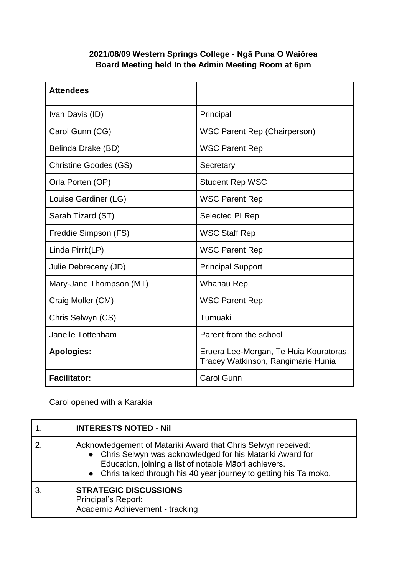## **2021/08/09 Western Springs College - Ngā Puna O Waiōrea Board Meeting held In the Admin Meeting Room at 6pm**

| <b>Attendees</b>             |                                                                              |
|------------------------------|------------------------------------------------------------------------------|
| Ivan Davis (ID)              | Principal                                                                    |
| Carol Gunn (CG)              | <b>WSC Parent Rep (Chairperson)</b>                                          |
| Belinda Drake (BD)           | <b>WSC Parent Rep</b>                                                        |
| <b>Christine Goodes (GS)</b> | Secretary                                                                    |
| Orla Porten (OP)             | <b>Student Rep WSC</b>                                                       |
| Louise Gardiner (LG)         | <b>WSC Parent Rep</b>                                                        |
| Sarah Tizard (ST)            | Selected PI Rep                                                              |
| Freddie Simpson (FS)         | <b>WSC Staff Rep</b>                                                         |
| Linda Pirrit(LP)             | <b>WSC Parent Rep</b>                                                        |
| Julie Debreceny (JD)         | <b>Principal Support</b>                                                     |
| Mary-Jane Thompson (MT)      | Whanau Rep                                                                   |
| Craig Moller (CM)            | <b>WSC Parent Rep</b>                                                        |
| Chris Selwyn (CS)            | Tumuaki                                                                      |
| Janelle Tottenham            | Parent from the school                                                       |
| <b>Apologies:</b>            | Eruera Lee-Morgan, Te Huia Kouratoras,<br>Tracey Watkinson, Rangimarie Hunia |
| <b>Facilitator:</b>          | <b>Carol Gunn</b>                                                            |

Carol opened with a Karakia

| <b>INTERESTS NOTED - Nil</b>                                                                                                                                                                                                                               |
|------------------------------------------------------------------------------------------------------------------------------------------------------------------------------------------------------------------------------------------------------------|
| Acknowledgement of Matariki Award that Chris Selwyn received:<br>• Chris Selwyn was acknowledged for his Matariki Award for<br>Education, joining a list of notable Māori achievers.<br>• Chris talked through his 40 year journey to getting his Ta moko. |
| <b>STRATEGIC DISCUSSIONS</b><br>Principal's Report:<br>Academic Achievement - tracking                                                                                                                                                                     |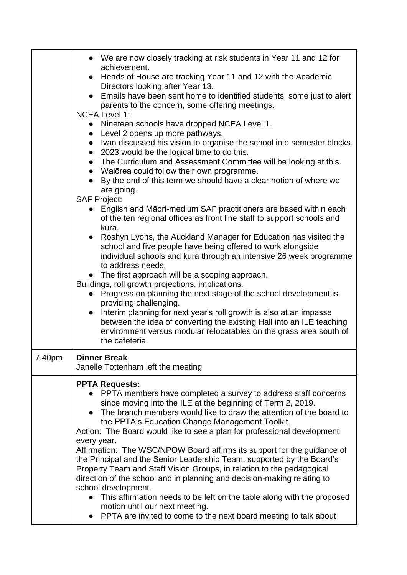|        | • We are now closely tracking at risk students in Year 11 and 12 for<br>achievement.                                                                           |
|--------|----------------------------------------------------------------------------------------------------------------------------------------------------------------|
|        | • Heads of House are tracking Year 11 and 12 with the Academic                                                                                                 |
|        | Directors looking after Year 13.<br>• Emails have been sent home to identified students, some just to alert<br>parents to the concern, some offering meetings. |
|        | <b>NCEA Level 1:</b>                                                                                                                                           |
|        | • Nineteen schools have dropped NCEA Level 1.<br>• Level 2 opens up more pathways.                                                                             |
|        | • Ivan discussed his vision to organise the school into semester blocks.                                                                                       |
|        | • 2023 would be the logical time to do this.<br>• The Curriculum and Assessment Committee will be looking at this.                                             |
|        | • Waiōrea could follow their own programme.                                                                                                                    |
|        | By the end of this term we should have a clear notion of where we<br>are going.                                                                                |
|        | <b>SAF Project:</b>                                                                                                                                            |
|        | English and Māori-medium SAF practitioners are based within each<br>of the ten regional offices as front line staff to support schools and<br>kura.            |
|        | • Roshyn Lyons, the Auckland Manager for Education has visited the                                                                                             |
|        | school and five people have being offered to work alongside<br>individual schools and kura through an intensive 26 week programme                              |
|        | to address needs.                                                                                                                                              |
|        | • The first approach will be a scoping approach.<br>Buildings, roll growth projections, implications.                                                          |
|        | Progress on planning the next stage of the school development is<br>$\bullet$                                                                                  |
|        | providing challenging.<br>Interim planning for next year's roll growth is also at an impasse<br>$\bullet$                                                      |
|        | between the idea of converting the existing Hall into an ILE teaching                                                                                          |
|        | environment versus modular relocatables on the grass area south of<br>the cafeteria.                                                                           |
| 7.40pm | <b>Dinner Break</b>                                                                                                                                            |
|        | Janelle Tottenham left the meeting                                                                                                                             |
|        | <b>PPTA Requests:</b>                                                                                                                                          |
|        | PPTA members have completed a survey to address staff concerns<br>since moving into the ILE at the beginning of Term 2, 2019.                                  |
|        | The branch members would like to draw the attention of the board to                                                                                            |
|        | the PPTA's Education Change Management Toolkit.<br>Action: The Board would like to see a plan for professional development                                     |
|        | every year.                                                                                                                                                    |
|        | Affirmation: The WSC/NPOW Board affirms its support for the guidance of<br>the Principal and the Senior Leadership Team, supported by the Board's              |
|        | Property Team and Staff Vision Groups, in relation to the pedagogical                                                                                          |
|        | direction of the school and in planning and decision-making relating to<br>school development.                                                                 |
|        | This affirmation needs to be left on the table along with the proposed<br>$\bullet$                                                                            |
|        | motion until our next meeting.<br>PPTA are invited to come to the next board meeting to talk about                                                             |
|        |                                                                                                                                                                |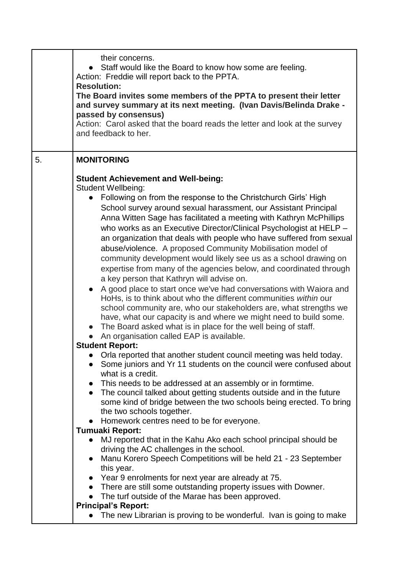|    | their concerns.<br>Staff would like the Board to know how some are feeling.<br>Action: Freddie will report back to the PPTA.<br><b>Resolution:</b><br>The Board invites some members of the PPTA to present their letter<br>and survey summary at its next meeting. (Ivan Davis/Belinda Drake -<br>passed by consensus)<br>Action: Carol asked that the board reads the letter and look at the survey<br>and feedback to her.                                                                                                                                                                                                                                                                                                                                                                                                                                                                                                                                                                                                                                                                                                                                                                                                                                                                                                                                                                                                                                                                                                                                                                                                                                                                                                                                                                                                                                                                                                                                                                                                                                                                                                                                        |
|----|----------------------------------------------------------------------------------------------------------------------------------------------------------------------------------------------------------------------------------------------------------------------------------------------------------------------------------------------------------------------------------------------------------------------------------------------------------------------------------------------------------------------------------------------------------------------------------------------------------------------------------------------------------------------------------------------------------------------------------------------------------------------------------------------------------------------------------------------------------------------------------------------------------------------------------------------------------------------------------------------------------------------------------------------------------------------------------------------------------------------------------------------------------------------------------------------------------------------------------------------------------------------------------------------------------------------------------------------------------------------------------------------------------------------------------------------------------------------------------------------------------------------------------------------------------------------------------------------------------------------------------------------------------------------------------------------------------------------------------------------------------------------------------------------------------------------------------------------------------------------------------------------------------------------------------------------------------------------------------------------------------------------------------------------------------------------------------------------------------------------------------------------------------------------|
| 5. | <b>MONITORING</b>                                                                                                                                                                                                                                                                                                                                                                                                                                                                                                                                                                                                                                                                                                                                                                                                                                                                                                                                                                                                                                                                                                                                                                                                                                                                                                                                                                                                                                                                                                                                                                                                                                                                                                                                                                                                                                                                                                                                                                                                                                                                                                                                                    |
|    | <b>Student Achievement and Well-being:</b><br><b>Student Wellbeing:</b><br>• Following on from the response to the Christchurch Girls' High<br>School survey around sexual harassment, our Assistant Principal<br>Anna Witten Sage has facilitated a meeting with Kathryn McPhillips<br>who works as an Executive Director/Clinical Psychologist at HELP -<br>an organization that deals with people who have suffered from sexual<br>abuse/violence. A proposed Community Mobilisation model of<br>community development would likely see us as a school drawing on<br>expertise from many of the agencies below, and coordinated through<br>a key person that Kathryn will advise on.<br>A good place to start once we've had conversations with Waiora and<br>HoHs, is to think about who the different communities within our<br>school community are, who our stakeholders are, what strengths we<br>have, what our capacity is and where we might need to build some.<br>• The Board asked what is in place for the well being of staff.<br>An organisation called EAP is available.<br><b>Student Report:</b><br>Orla reported that another student council meeting was held today.<br>Some juniors and Yr 11 students on the council were confused about<br>what is a credit.<br>This needs to be addressed at an assembly or in formtime.<br>$\bullet$<br>• The council talked about getting students outside and in the future<br>some kind of bridge between the two schools being erected. To bring<br>the two schools together.<br>Homework centres need to be for everyone.<br>$\bullet$<br><b>Tumuaki Report:</b><br>MJ reported that in the Kahu Ako each school principal should be<br>$\bullet$<br>driving the AC challenges in the school.<br>Manu Korero Speech Competitions will be held 21 - 23 September<br>$\bullet$<br>this year.<br>Year 9 enrolments for next year are already at 75.<br>$\bullet$<br>There are still some outstanding property issues with Downer.<br>The turf outside of the Marae has been approved.<br><b>Principal's Report:</b><br>The new Librarian is proving to be wonderful. Ivan is going to make<br>$\bullet$ |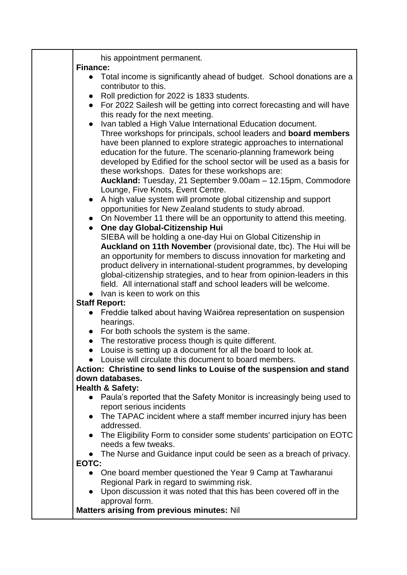| his appointment permanent.<br><b>Finance:</b>                                                                                                                                                                                                                                                                                                                                                                                                                                                                                                                                                                                                                                                                                                                                                                                                                                                                                                                                                                                                                                                                                                                                                                              |
|----------------------------------------------------------------------------------------------------------------------------------------------------------------------------------------------------------------------------------------------------------------------------------------------------------------------------------------------------------------------------------------------------------------------------------------------------------------------------------------------------------------------------------------------------------------------------------------------------------------------------------------------------------------------------------------------------------------------------------------------------------------------------------------------------------------------------------------------------------------------------------------------------------------------------------------------------------------------------------------------------------------------------------------------------------------------------------------------------------------------------------------------------------------------------------------------------------------------------|
| • Total income is significantly ahead of budget. School donations are a<br>contributor to this.<br>Roll prediction for 2022 is 1833 students.                                                                                                                                                                                                                                                                                                                                                                                                                                                                                                                                                                                                                                                                                                                                                                                                                                                                                                                                                                                                                                                                              |
| For 2022 Sailesh will be getting into correct forecasting and will have<br>this ready for the next meeting.                                                                                                                                                                                                                                                                                                                                                                                                                                                                                                                                                                                                                                                                                                                                                                                                                                                                                                                                                                                                                                                                                                                |
| Ivan tabled a High Value International Education document.<br>Three workshops for principals, school leaders and <b>board members</b><br>have been planned to explore strategic approaches to international<br>education for the future. The scenario-planning framework being<br>developed by Edified for the school sector will be used as a basis for<br>these workshops. Dates for these workshops are:<br>Auckland: Tuesday, 21 September 9.00am - 12.15pm, Commodore<br>Lounge, Five Knots, Event Centre.<br>A high value system will promote global citizenship and support<br>opportunities for New Zealand students to study abroad.<br>On November 11 there will be an opportunity to attend this meeting.<br>One day Global-Citizenship Hui<br>SIEBA will be holding a one-day Hui on Global Citizenship in<br>Auckland on 11th November (provisional date, tbc). The Hui will be<br>an opportunity for members to discuss innovation for marketing and<br>product delivery in international-student programmes, by developing<br>global-citizenship strategies, and to hear from opinion-leaders in this<br>field. All international staff and school leaders will be welcome.<br>Ivan is keen to work on this |
| <b>Staff Report:</b><br>Freddie talked about having Waiorea representation on suspension                                                                                                                                                                                                                                                                                                                                                                                                                                                                                                                                                                                                                                                                                                                                                                                                                                                                                                                                                                                                                                                                                                                                   |
| hearings.                                                                                                                                                                                                                                                                                                                                                                                                                                                                                                                                                                                                                                                                                                                                                                                                                                                                                                                                                                                                                                                                                                                                                                                                                  |
| • For both schools the system is the same.                                                                                                                                                                                                                                                                                                                                                                                                                                                                                                                                                                                                                                                                                                                                                                                                                                                                                                                                                                                                                                                                                                                                                                                 |
| The restorative process though is quite different.<br>Louise is setting up a document for all the board to look at.<br>$\bullet$                                                                                                                                                                                                                                                                                                                                                                                                                                                                                                                                                                                                                                                                                                                                                                                                                                                                                                                                                                                                                                                                                           |
| Louise will circulate this document to board members.                                                                                                                                                                                                                                                                                                                                                                                                                                                                                                                                                                                                                                                                                                                                                                                                                                                                                                                                                                                                                                                                                                                                                                      |
| Action: Christine to send links to Louise of the suspension and stand<br>down databases.                                                                                                                                                                                                                                                                                                                                                                                                                                                                                                                                                                                                                                                                                                                                                                                                                                                                                                                                                                                                                                                                                                                                   |
| <b>Health &amp; Safety:</b>                                                                                                                                                                                                                                                                                                                                                                                                                                                                                                                                                                                                                                                                                                                                                                                                                                                                                                                                                                                                                                                                                                                                                                                                |
| • Paula's reported that the Safety Monitor is increasingly being used to<br>report serious incidents                                                                                                                                                                                                                                                                                                                                                                                                                                                                                                                                                                                                                                                                                                                                                                                                                                                                                                                                                                                                                                                                                                                       |
| • The TAPAC incident where a staff member incurred injury has been<br>addressed.                                                                                                                                                                                                                                                                                                                                                                                                                                                                                                                                                                                                                                                                                                                                                                                                                                                                                                                                                                                                                                                                                                                                           |
| The Eligibility Form to consider some students' participation on EOTC<br>needs a few tweaks.                                                                                                                                                                                                                                                                                                                                                                                                                                                                                                                                                                                                                                                                                                                                                                                                                                                                                                                                                                                                                                                                                                                               |
| • The Nurse and Guidance input could be seen as a breach of privacy.<br>EOTC:                                                                                                                                                                                                                                                                                                                                                                                                                                                                                                                                                                                                                                                                                                                                                                                                                                                                                                                                                                                                                                                                                                                                              |
| One board member questioned the Year 9 Camp at Tawharanui<br>Regional Park in regard to swimming risk.                                                                                                                                                                                                                                                                                                                                                                                                                                                                                                                                                                                                                                                                                                                                                                                                                                                                                                                                                                                                                                                                                                                     |
| Upon discussion it was noted that this has been covered off in the<br>approval form.<br>Matters arising from previous minutes: Nil                                                                                                                                                                                                                                                                                                                                                                                                                                                                                                                                                                                                                                                                                                                                                                                                                                                                                                                                                                                                                                                                                         |